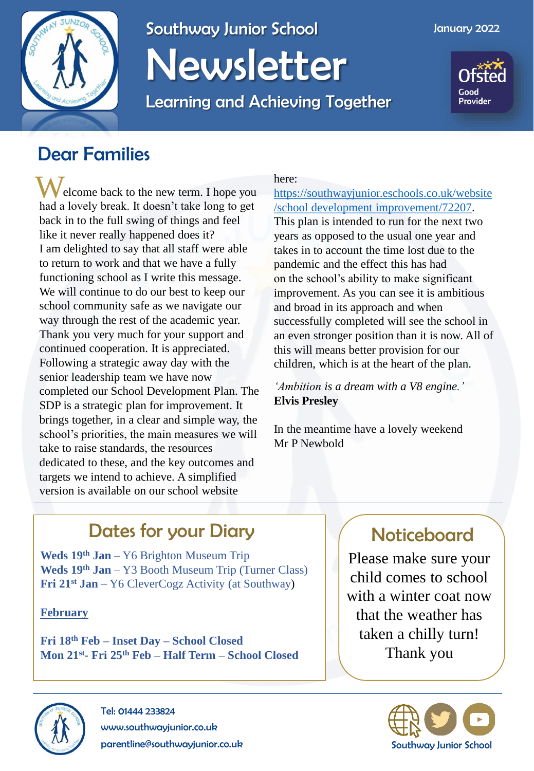

# Southway Junior School Newsletter

Learning and Achieving Together



## Dear Families

elcome back to the new term. I hope you had a lovely break. It doesn't take long to get back in to the full swing of things and feel like it never really happened does it? I am delighted to say that all staff were able to return to work and that we have a fully functioning school as I write this message. We will continue to do our best to keep our school community safe as we navigate our way through the rest of the academic year. Thank you very much for your support and continued cooperation. It is appreciated. Following a strategic away day with the senior leadership team we have now completed our School Development Plan. The SDP is a strategic plan for improvement. It brings together, in a clear and simple way, the school's priorities, the main measures we will take to raise standards, the resources dedicated to these, and the key outcomes and targets we intend to achieve. A simplified version is available on our school website W

### here:

[https://southwayjunior.eschools.co.uk/website](https://southwayjunior.eschools.co.uk/website/school_development__improvement/72207)  [/school development improvement/72207](https://southwayjunior.eschools.co.uk/website/school_development__improvement/72207).

This plan is intended to run for the next two years as opposed to the usual one year and takes in to account the time lost due to the pandemic and the effect this has had on the school's ability to make significant improvement. As you can see it is ambitious and broad in its approach and when successfully completed will see the school in an even stronger position than it is now. All of this will means better provision for our children, which is at the heart of the plan.

*'Ambition is a dream with a V8 engine.'*  **Elvis Presley**

In the meantime have a lovely weekend Mr P Newbold

# Dates for your Diary **Noticeboard**

**Weds 19th Jan** – Y6 Brighton Museum Trip **Weds 19th Jan** – Y3 Booth Museum Trip (Turner Class) **Fri 21st Jan** – Y6 CleverCogz Activity (at Southway)

**February**

**Fri 18th Feb – Inset Day – School Closed Mon 21st - Fri 25th Feb – Half Term – School Closed**

Please make sure your child comes to school with a winter coat now that the weather has taken a chilly turn! Thank you





Tel: 01444 233824 www.southwayjunior.co.uk parentline@southwayjunior.co.uk